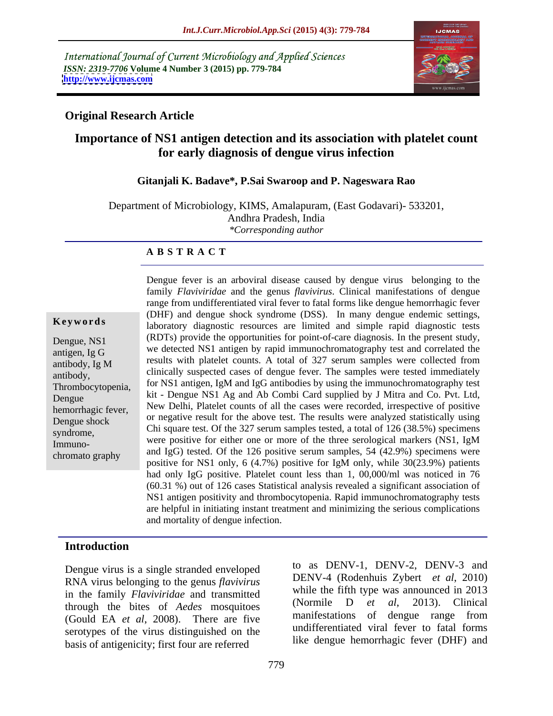International Journal of Current Microbiology and Applied Sciences *ISSN: 2319-7706* **Volume 4 Number 3 (2015) pp. 779-784 <http://www.ijcmas.com>**



# **Original Research Article**

# **Importance of NS1 antigen detection and its association with platelet count for early diagnosis of dengue virus infection**

### **Gitanjali K. Badave\*, P.Sai Swaroop and P. Nageswara Rao**

Department of Microbiology, KIMS, Amalapuram, (East Godavari)- 533201, Andhra Pradesh, India *\*Corresponding author*

**A B S T R A C T**

Dengue fever is an arboviral disease caused by dengue virus belonging to the family *Flaviviridae* and the genus *flavivirus*. Clinical manifestations of dengue range from undifferentiated viral fever to fatal forms like dengue hemorrhagic fever (DHF) and dengue shock syndrome (DSS). In many dengue endemic settings, **Keywords** laboratory diagnostic resources are limited and simple rapid diagnostic tests Dengue, NS1 (RDTs) provide the opportunities for point-of-care diagnosis. In the present study, we detected NS1 antigen by rapid immunochromatography test and correlated the antigen, Ig G  $r_{\text{antibody}}$ , Ig M results with platelet counts. A total of 327 serum samples were collected from entrology,  $\frac{1}{2}$  clinically suspected cases of dengue fever. The samples were tested immediately for NS1 antigen, IgM and IgG antibodies by using the immunochromatography test Thrombocytopenia, Let the computer of principle in the NS1 Ag and Ab Combi Card supplied by J Mitra and Co. Pvt. Ltd, Dengue New Delhi, Platelet counts of all the cases were recorded, irrespective of positive hemorrhagic fever, Dengue shock or negative result for the above test. The results were analyzed statistically using  $\sum_{n=1}^{\infty}$ Chi square test. Of the 327 serum samples tested, a total of 126 (38.5%) specimens syndrome, Immuno-<br>Immuno-<br> $\begin{bmatrix} 1 & 0 \\ 0 & 1 \end{bmatrix}$  were positive for either one or more of the three serological markers (NS1, IgM  $\frac{1}{2}$  and IgG) tested. Of the 126 positive serum samples, 54 (42.9%) specimens were positive for NS1 only, 6 (4.7%) positive for IgM only, while 30(23.9%) patients had only IgG positive. Platelet count less than 1, 00,000/ml was noticed in 76 (60.31 %) out of 126 cases Statistical analysis revealed a significant association of NS1 antigen positivity and thrombocytopenia. Rapid immunochromatography tests are helpful in initiating instant treatment and minimizing the serious complications and mortality of dengue infection.

# **Introduction**

Dengue virus is a single stranded enveloped RNA virus belonging to the genus *flavivirus* in the family *Flaviviridae* and transmitted<br>through the bitse of *Acdes* mosquitoes (Normile D *et al.* 2013). Clinical through the bites of *Aedes* mosquitoes (Normal D et al. 2013). Clinical<br>(Gould EA et al. 2008). There are five manifestations of dengue range from (Gould EA *et al*, 2008). There are five serotypes of the virus distinguished on the basis of antigenicity; first four are referred

to as DENV-1, DENV-2, DENV-3 and DENV-4 (Rodenhuis Zybert *et al*, 2010) while the fifth type was announced in 2013 (Normile D *et al*, 2013). Clinical manifestations of dengue range from undifferentiated viral fever to fatal forms like dengue hemorrhagic fever (DHF) and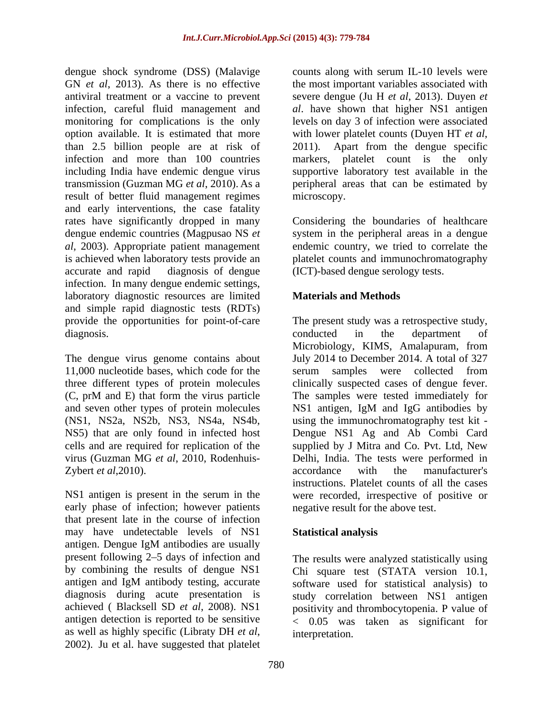dengue shock syndrome (DSS) (Malavige GN *et al*, 2013). As there is no effective antiviral treatment or a vaccine to prevent infection, careful fluid management and monitoring for complications is the only levels on day 3 of infection were associated option available. It is estimated that more with lower platelet counts (Duyen HT et al, than 2.5 billion people are at risk of infection and more than 100 countries markers, platelet count is the only including India have endemic dengue virus supportive laboratory test available in the transmission (Guzman MG *et al*, 2010). As a peripheral areas that can be estimated by result of better fluid management regimes microscopy. and early interventions, the case fatality rates have significantly dropped in many Considering the boundaries of healthcare dengue endemic countries (Magpusao NS *et al*, 2003). Appropriate patient management is achieved when laboratory tests provide an platelet counts and immunochromatography accurate and rapid diagnosis of dengue (ICT)-based dengue serology tests. infection. In many dengue endemic settings, laboratory diagnostic resources are limited and simple rapid diagnostic tests (RDTs)

Zybert *et al*, 2010). **Example 2010** accordance with the manufacturer's

early phase of infection; however patients that present late in the course of infection may have undetectable levels of NS1 Statistical analysis antigen. Dengue IgM antibodies are usually present following 2–5 days of infection and as well as highly specific (Libraty DH *et al*, interpretation.<br>2002). Ju et al. have suggested that platelet

counts along with serum IL-10 levels were the most important variables associated with severe dengue (Ju H *et al*, 2013). Duyen *et al*. have shown that higher NS1 antigen with lower platelet counts (Duyen HT *et al*, 2011). Apart from the dengue specific microscopy.

system in the peripheral areas in a dengue endemic country, we tried to correlate the

# **Materials and Methods**

provide the opportunities for point-of-care The present study was a retrospective study, diagnosis. The conducted in the department of The dengue virus genome contains about July 2014 to December 2014. A total of 327 11,000 nucleotide bases, which code for the serum samples were collected from three different types of protein molecules clinically suspected cases of dengue fever. (C, prM and E) that form the virus particle The samples were tested immediately for and seven other types of protein molecules NS1 antigen, IgM and IgG antibodies by (NS1, NS2a, NS2b, NS3, NS4a, NS4b, using the immunochromatography test kit - NS5) that are only found in infected host Dengue NS1 Ag and Ab Combi Card cells and are required for replication of the supplied by J Mitra and Co. Pvt. Ltd, New virus (Guzman MG *et al*, 2010, Rodenhuis- Delhi, India. The tests were performed in NS1 antigen is present in the serum in the were recorded, irrespective of positive or conducted in the department of Microbiology, KIMS, Amalapuram, from accordance with the manufacturer's instructions. Platelet counts of all the cases negative result for the above test.

## **Statistical analysis**

by combining the results of dengue NS1 Chi square test (STATA version 10.1, antigen and IgM antibody testing, accurate software used for statistical analysis) to diagnosis during acute presentation is study correlation between NS1 antigen achieved ( Blacksell SD *et al*, 2008). NS1 positivity and thrombocytopenia. P value of antigen detection is reported to be sensitive < 0.05 was taken as significant for The results were analyzed statistically using interpretation.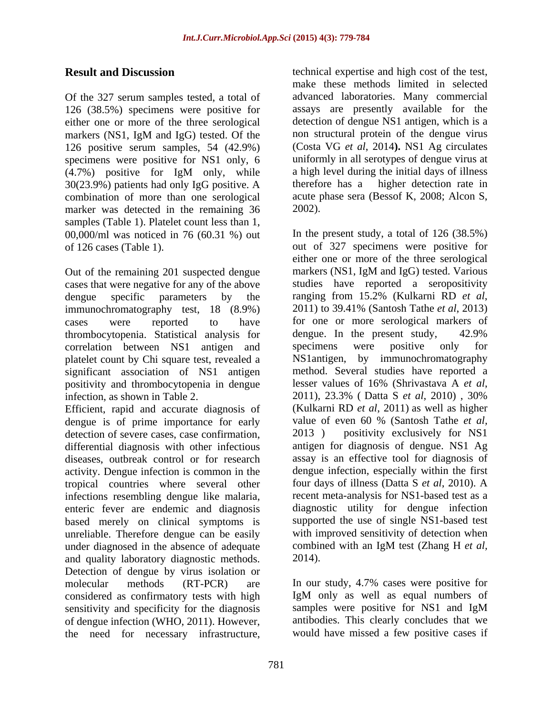Of the 327 serum samples tested, a total of either one or more of the three serological 126 positive serum samples, 54 (42.9%) specimens were positive for NS1 only, 6 30(23.9%) patients had only IgG positive. A combination of more than one serological marker was detected in the remaining 36 2002). samples (Table 1). Platelet count less than 1,<br>00,000/ml was noticed in 76 (60.31 %) out In the present study, a total of 126 (38.5%)

cases that were negative for any of the above dengue specific parameters by the ranging from 15.2% (Kulkarni RD *et al*, immunochromatography test. 18 (8.9%) 2011) to 39.41% (Santosh Tathe *et al*, 2013) immunochromatography test, 18 (8.9%) thrombocytopenia. Statistical analysis for<br>
correlation between NS1 antigen and specimens were positive only for correlation between NS1 antigen and specimens were positive only for platelet count by Chi square test, revealed a significant association of NS1 antigen method. Several studies have reported a positivity and thrombocytonenia in dengue lesser values of 16% (Shrivastava A et al. positivity and thrombocytopenia in dengue infection, as shown in Table 2. 2011), 23.3% (Datta S *et al*, 2010), 30%

Efficient, rapid and accurate diagnosis of dengue is of prime importance for early detection of severe cases, case confirmation, 2013) diseases, outbreak control or for research activity. Dengue infection is common in the tropical countries where several other infections resembling dengue like malaria, based merely on clinical symptoms is unreliable. Therefore dengue can be easily with improved sensitivity of detection when under diagnosed in the absence of adequate combined with an IgM test (Zhang H et al. under diagnosed in the absence of adequate combin<br>and quality laboratory diagnostic methods 2014). and quality laboratory diagnostic methods. Detection of dengue by virus isolation or molecular methods (RT-PCR) are In our study, 4.7% cases were positive for considered as confirmatory tests with high IgM only as well as equal numbers of sensitivity and specificity for the diagnosis samples were positive for NS1 and IgM sensitivity and specificity for the diagnosis of dengue infection (WHO, 2011). However, the need for necessary infrastructure,

**Result and Discussion** technical expertise and high cost of the test, 126 (38.5%) specimens were positive for assays are presently available for the markers (NS1, IgM and IgG) tested. Of the (4.7%) positive for IgM only, while make these methods limited in selected advanced laboratories. Many commercial detection of dengue NS1 antigen, which is a non structural protein of the dengue virus (Costa VG *et al*, 2014**).** NS1 Ag circulates uniformly in all serotypes of dengue virus at a high level during the initial days of illness therefore has a higher detection rate in acute phase sera (Bessof K, 2008; Alcon S, 2002).

of 126 cases (Table 1). out of 327 specimens were positive for Out of the remaining 201 suspected dengue markers (NS1, IgM and IgG) tested. Various cases were reported to have for one or more serological markers of differential diagnosis with other infectious antigen for diagnosis of dengue. NS1 Ag enteric fever are endemic and diagnosis diagnostic utility for dengue infection In the present study, a total of 126 (38.5%) either one or more of the three serological markers (NS1, IgM and IgG) tested. Various studies have reported a seropositivity ranging from 15.2% (Kulkarni RD*et al*, 2011) to 39.41% (Santosh Tathe *et al*, 2013) dengue. In the present study, 42.9% specimens were positive only for NS1antigen, by immunochromatography method. Several studies have reported a lesser values of 16% (Shrivastava <sup>A</sup> *et al*, 2011), 23.3% ( Datta <sup>S</sup> *et al*, 2010) , 30% (Kulkarni RD *et al*, 2011) as well as higher value of even 60 % (Santosh Tathe*et al,* positivity exclusively for NS1 assay is an effective tool for diagnosis of dengue infection, especially within the first four days of illness (Datta S *et al*, 2010). A recent meta-analysis for NS1-based test as a supported the use of single NS1-based test with improved sensitivity of detection when combined with an IgM test (Zhang H *et al,* 2014).

> IgM only as well as equal numbers of samples were positive for NS1 and IgM antibodies. This clearly concludes that we would have missed a few positive cases if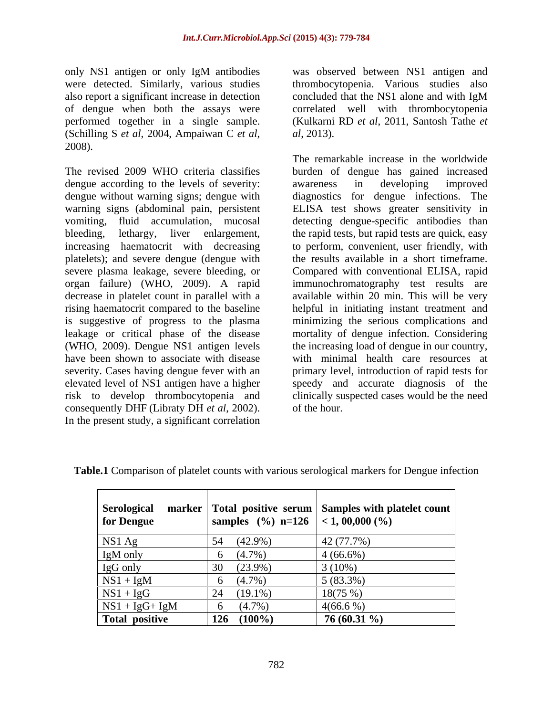only NS1 antigen or only IgM antibodies also report a significant increase in detection performed together in a single sample. (Schilling <sup>S</sup> *et al*, 2004, Ampaiwan <sup>C</sup> *et al*, 2008).

dengue according to the levels of severity: awareness in developing improved elevated level of NS1 antigen have a higher consequently DHF (Libraty DH *et al*, 2002). In the present study, a significant correlation

were detected. Similarly, various studies thrombocytopenia. Various studies also of dengue when both the assays were correlated well with thrombocytopenia was observed between NS1 antigen and concluded that the NS1 alone and with IgM (Kulkarni RD *et al*, 2011, Santosh Tathe *et al*, 2013). The remarkable increase in the worldwide

The revised 2009 WHO criteria classifies burden of dengue has gained increased dengue without warning signs; dengue with diagnostics for dengue infections. The warning signs (abdominal pain, persistent ELISA test shows greater sensitivity in vomiting, fluid accumulation, mucosal detecting dengue-specific antibodies than bleeding, lethargy, liver enlargement, the rapid tests, but rapid tests are quick, easy increasing haematocrit with decreasing to perform, convenient, user friendly, with platelets); and severe dengue (dengue with the results available in a short timeframe. severe plasma leakage, severe bleeding, or Compared with conventional ELISA, rapid organ failure) (WHO, 2009). A rapid immunochromatography test results are decrease in platelet count in parallel with a available within 20 min. This will be very rising haematocrit compared to the baseline helpful in initiating instant treatment and is suggestive of progress to the plasma minimizing the serious complications and leakage or critical phase of the disease mortality of dengue infection. Considering (WHO, 2009). Dengue NS1 antigen levels the increasing load of dengue in our country, have been shown to associate with disease with minimal health care resources at severity. Cases having dengue fever with an primary level, introduction of rapid tests for risk to develop thrombocytopenia and clinically suspected cases would be the need awareness in developing improved speedy and accurate diagnosis of the of the hour.

| <b>Serological</b><br><b>for Dengue</b> |                 | al marker Total positive serum Samples with platelet count<br>e samples (%) n=126 < 1, 00,000 (%) |
|-----------------------------------------|-----------------|---------------------------------------------------------------------------------------------------|
| NS1 Ag                                  | 54 (42.9%)      | 42 (77.7%)                                                                                        |
| IgM only                                | $(4.7\%)$       | $4(66.6\%)$                                                                                       |
|                                         | $(23.9\%)$      | $3(10\%)$                                                                                         |
| $\frac{IgG \text{ only}}{NS1 + IgM}$    | $(4.7\%)$       | $5(83.3\%)$                                                                                       |
| $NS1 + IgG$                             | $24(19.1\%)$    | 18(75%)                                                                                           |
| $NS1 + IgG + IgM$                       | 6 $(4.7\%)$     | $4(66.6\%)$                                                                                       |
| Total positive                          | $126$ $(100\%)$ | 76 (60.31 %)                                                                                      |

**Table.1** Comparison of platelet counts with various serological markers for Dengue infection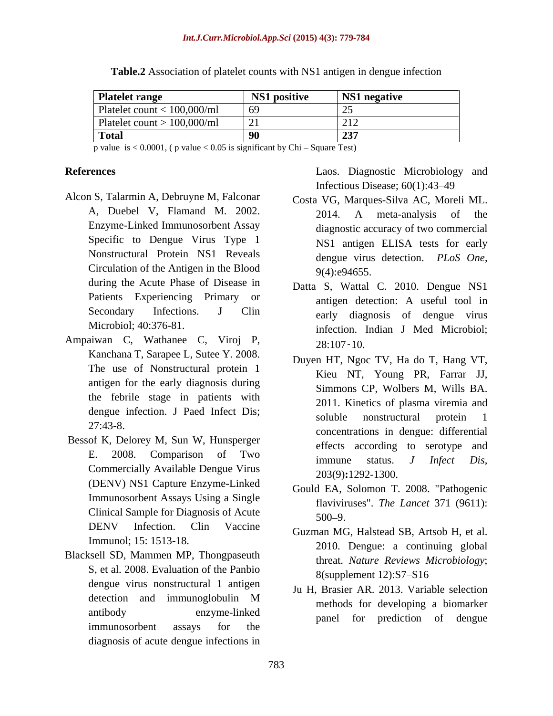### *Int.J.Curr.Microbiol.App.Sci* **(2015) 4(3): 779-784**

| <b>Platelet range</b>          | NS1 positive | NS1 negative |
|--------------------------------|--------------|--------------|
| Platelet count $< 100,000$ /ml | 69           |              |
| Platelet count $> 100,000$ /ml |              | 21'<br>– 1 – |
| <sup>1</sup> Total             | יי           | フマワ<br>⊷     |

**Table.2** Association of platelet counts with NS1 antigen in dengue infection

p value is  $< 0.0001$ , (p value  $< 0.05$  is significant by Chi – Square Test)

- Alcon S, Talarmin A, Debruyne M, Falconar Enzyme-Linked Immunosorbent Assay Specific to Dengue Virus Type 1 Circulation of the Antigen in the Blood  $9(4):e94655$ . during the Acute Phase of Disease in Patients Experiencing Primary or
- Ampaiwan C, Wathanee C, Viroj P, Kanchana T, Sarapee L, Sutee Y. 2008. The use of Nonstructural protein 1 antigen for the early diagnosis during the febrile stage in patients with
- Bessof K, Delorey M, Sun W, Hunsperger E. 2006. Comparison of Two<br>
commercially Available Dengue Virus<br>
203(9):1292-1300. (DENV) NS1 Capture Enzyme-Linked Immunosorbent Assays Using a Single Clinical Sample for Diagnosis of Acute 500–9. DENV Infection. Clin Vaccine  $C_{\text{UZmpon}}$  MC Holstood SP Artsch H at all
- Blacksell SD, Mammen MP, Thongpaseuth S, et al. 2008. Evaluation of the Panbio<br>8(supplement 12):S7–S16 dengue virus nonstructural 1 antigen immunosorbent assays for the the the state of the state of the state of the state of the state of the state of the state of the state of the state of the state of the state of the state of the state of the state of the sta diagnosis of acute dengue infections in

**References** Laos. Diagnostic Microbiology and Infectious Disease; 60(1):43-49

- A, Duebel V, Flamand M. 2002. Nonstructural Protein NS1 Reveals dengue virus detection. PLoS One, Costa VG, Marques-Silva AC, Moreli ML. 2014. A meta-analysis of the diagnostic accuracy of two commercial NS1 antigen ELISA tests for early dengue virus detection. *PLoS One*, 9(4):e94655.
- Secondary Infections. J Clin early diagnosis of dengue virus Microbiol; 40:376-81. infection. Indian J Med Microbiol; Datta S, Wattal C. 2010. Dengue NS1 antigen detection: A useful tool in 28:107 10.
- dengue infection. J Paed Infect Dis;<br>soluble nonstructural protein 1 27:43-8. concentrations in dengue: differential E. 2008. Comparison of Two  $\frac{1}{2}$  immune status I Infect Dis Duyen HT, Ngoc TV, Ha do T, Hang VT, Kieu NT, Young PR, Farrar JJ, Simmons CP, Wolbers M, Wills BA. 2011. Kinetics of plasma viremia and soluble nonstructural protein 1 effects according to serotype and immune status. *<sup>J</sup> Infect Dis*, 203(9)**:**1292-1300.
	- Gould EA, Solomon T. 2008. "Pathogenic flaviviruses". *The Lancet* 371 (9611):  $500 - 9.$
- Immunol; 15: 1513-18.<br>
2010. Dengue: a continuing global Guzman MG, Halstead SB, Artsob H, et al. threat. *Nature Reviews Microbiology*; 8(supplement 12):S7-S16
- detection and immunoglobulin M mothods for developing a higher relation antibody enzyme-linked <sub>namel</sub> for prediction of dengue Ju H, Brasier AR. 2013. Variable selection methods for developing a biomarker panel for prediction of dengue